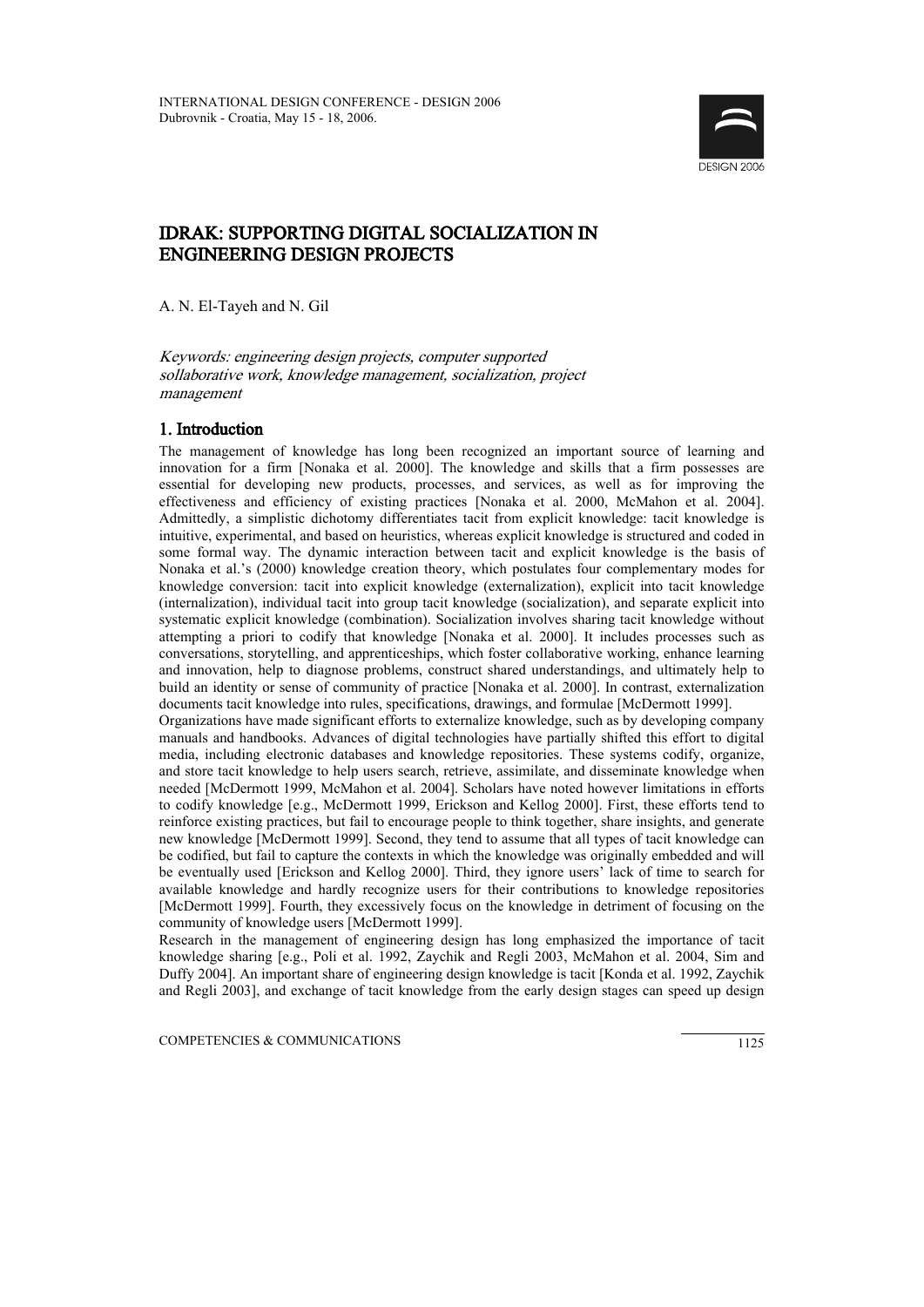

# IDRAK: SUPPORTING DIGITAL SOCIALIZATION IN ENGINEERING DESIGN PROJECTS

A. N. El-Tayeh and N. Gil

#### Keywords: engineering design projects, computer supported sollaborative work, knowledge management, socialization, project management

## 1. Introduction

The management of knowledge has long been recognized an important source of learning and innovation for a firm [Nonaka et al. 2000]. The knowledge and skills that a firm possesses are essential for developing new products, processes, and services, as well as for improving the effectiveness and efficiency of existing practices [Nonaka et al. 2000, McMahon et al. 2004]. Admittedly, a simplistic dichotomy differentiates tacit from explicit knowledge: tacit knowledge is intuitive, experimental, and based on heuristics, whereas explicit knowledge is structured and coded in some formal way. The dynamic interaction between tacit and explicit knowledge is the basis of Nonaka et al.'s (2000) knowledge creation theory, which postulates four complementary modes for knowledge conversion: tacit into explicit knowledge (externalization), explicit into tacit knowledge (internalization), individual tacit into group tacit knowledge (socialization), and separate explicit into systematic explicit knowledge (combination). Socialization involves sharing tacit knowledge without attempting a priori to codify that knowledge [Nonaka et al. 2000]. It includes processes such as conversations, storytelling, and apprenticeships, which foster collaborative working, enhance learning and innovation, help to diagnose problems, construct shared understandings, and ultimately help to build an identity or sense of community of practice [Nonaka et al. 2000]. In contrast, externalization documents tacit knowledge into rules, specifications, drawings, and formulae [McDermott 1999].

Organizations have made significant efforts to externalize knowledge, such as by developing company manuals and handbooks. Advances of digital technologies have partially shifted this effort to digital media, including electronic databases and knowledge repositories. These systems codify, organize, and store tacit knowledge to help users search, retrieve, assimilate, and disseminate knowledge when needed [McDermott 1999, McMahon et al. 2004]. Scholars have noted however limitations in efforts to codify knowledge [e.g., McDermott 1999, Erickson and Kellog 2000]. First, these efforts tend to reinforce existing practices, but fail to encourage people to think together, share insights, and generate new knowledge [McDermott 1999]. Second, they tend to assume that all types of tacit knowledge can be codified, but fail to capture the contexts in which the knowledge was originally embedded and will be eventually used [Erickson and Kellog 2000]. Third, they ignore users' lack of time to search for available knowledge and hardly recognize users for their contributions to knowledge repositories [McDermott 1999]. Fourth, they excessively focus on the knowledge in detriment of focusing on the community of knowledge users [McDermott 1999].

Research in the management of engineering design has long emphasized the importance of tacit knowledge sharing [e.g., Poli et al. 1992, Zaychik and Regli 2003, McMahon et al. 2004, Sim and Duffy 2004]. An important share of engineering design knowledge is tacit [Konda et al. 1992, Zaychik and Regli 2003], and exchange of tacit knowledge from the early design stages can speed up design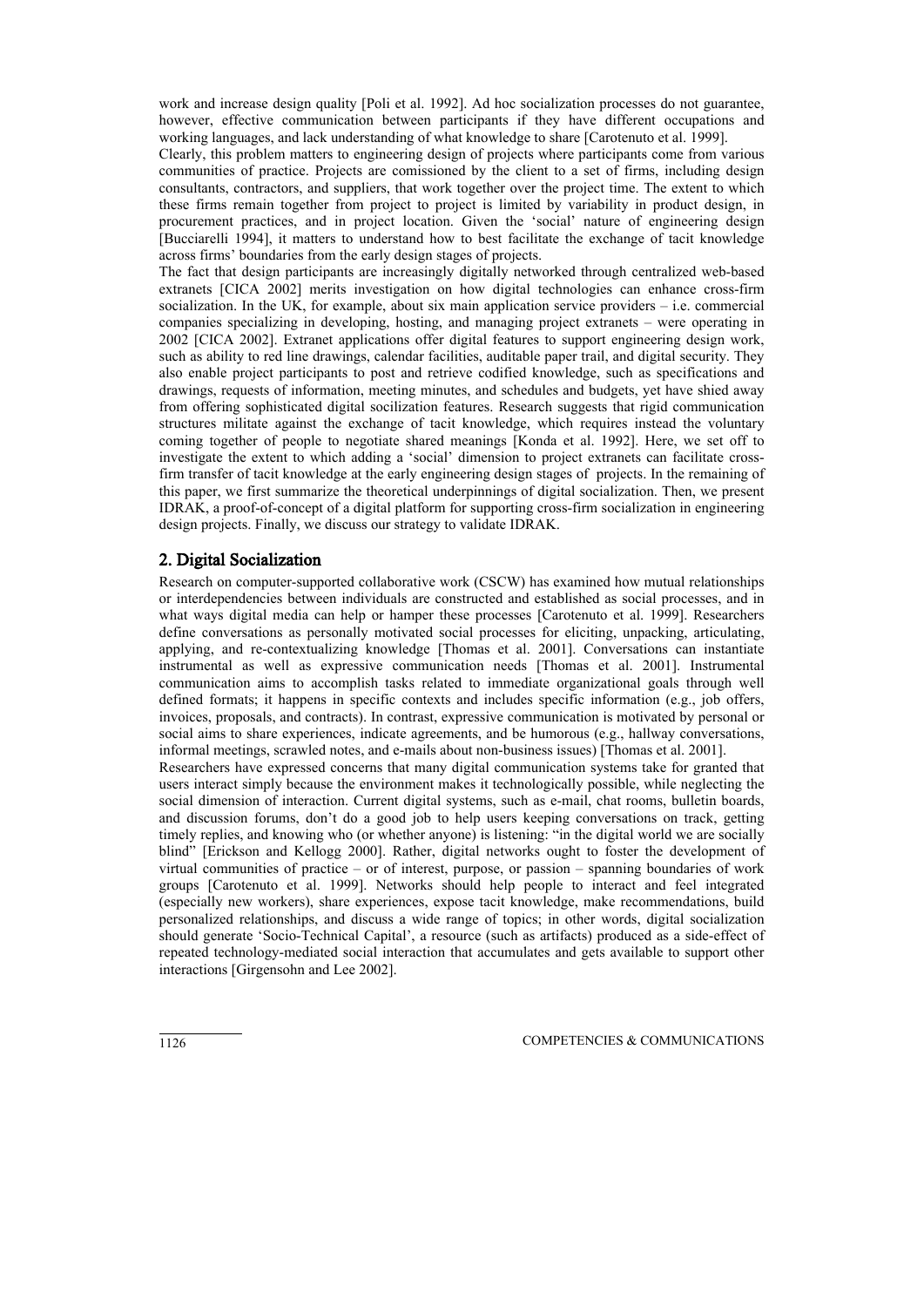work and increase design quality [Poli et al. 1992]. Ad hoc socialization processes do not guarantee, however, effective communication between participants if they have different occupations and working languages, and lack understanding of what knowledge to share [Carotenuto et al. 1999].

Clearly, this problem matters to engineering design of projects where participants come from various communities of practice. Projects are comissioned by the client to a set of firms, including design consultants, contractors, and suppliers, that work together over the project time. The extent to which these firms remain together from project to project is limited by variability in product design, in procurement practices, and in project location. Given the 'social' nature of engineering design [Bucciarelli 1994], it matters to understand how to best facilitate the exchange of tacit knowledge across firms' boundaries from the early design stages of projects.

The fact that design participants are increasingly digitally networked through centralized web-based extranets [CICA 2002] merits investigation on how digital technologies can enhance cross-firm socialization. In the UK, for example, about six main application service providers – i.e. commercial companies specializing in developing, hosting, and managing project extranets – were operating in 2002 [CICA 2002]. Extranet applications offer digital features to support engineering design work, such as ability to red line drawings, calendar facilities, auditable paper trail, and digital security. They also enable project participants to post and retrieve codified knowledge, such as specifications and drawings, requests of information, meeting minutes, and schedules and budgets, yet have shied away from offering sophisticated digital socilization features. Research suggests that rigid communication structures militate against the exchange of tacit knowledge, which requires instead the voluntary coming together of people to negotiate shared meanings [Konda et al. 1992]. Here, we set off to investigate the extent to which adding a 'social' dimension to project extranets can facilitate crossfirm transfer of tacit knowledge at the early engineering design stages of projects. In the remaining of this paper, we first summarize the theoretical underpinnings of digital socialization. Then, we present IDRAK, a proof-of-concept of a digital platform for supporting cross-firm socialization in engineering design projects. Finally, we discuss our strategy to validate IDRAK.

### 2. Digital Socialization

Research on computer-supported collaborative work (CSCW) has examined how mutual relationships or interdependencies between individuals are constructed and established as social processes, and in what ways digital media can help or hamper these processes [Carotenuto et al. 1999]. Researchers define conversations as personally motivated social processes for eliciting, unpacking, articulating, applying, and re-contextualizing knowledge [Thomas et al. 2001]. Conversations can instantiate instrumental as well as expressive communication needs [Thomas et al. 2001]. Instrumental communication aims to accomplish tasks related to immediate organizational goals through well defined formats; it happens in specific contexts and includes specific information (e.g., job offers, invoices, proposals, and contracts). In contrast, expressive communication is motivated by personal or social aims to share experiences, indicate agreements, and be humorous (e.g., hallway conversations, informal meetings, scrawled notes, and e-mails about non-business issues) [Thomas et al. 2001].

Researchers have expressed concerns that many digital communication systems take for granted that users interact simply because the environment makes it technologically possible, while neglecting the social dimension of interaction. Current digital systems, such as e-mail, chat rooms, bulletin boards, and discussion forums, don't do a good job to help users keeping conversations on track, getting timely replies, and knowing who (or whether anyone) is listening: "in the digital world we are socially blind" [Erickson and Kellogg 2000]. Rather, digital networks ought to foster the development of virtual communities of practice – or of interest, purpose, or passion – spanning boundaries of work groups [Carotenuto et al. 1999]. Networks should help people to interact and feel integrated (especially new workers), share experiences, expose tacit knowledge, make recommendations, build personalized relationships, and discuss a wide range of topics; in other words, digital socialization should generate 'Socio-Technical Capital', a resource (such as artifacts) produced as a side-effect of repeated technology-mediated social interaction that accumulates and gets available to support other interactions [Girgensohn and Lee 2002].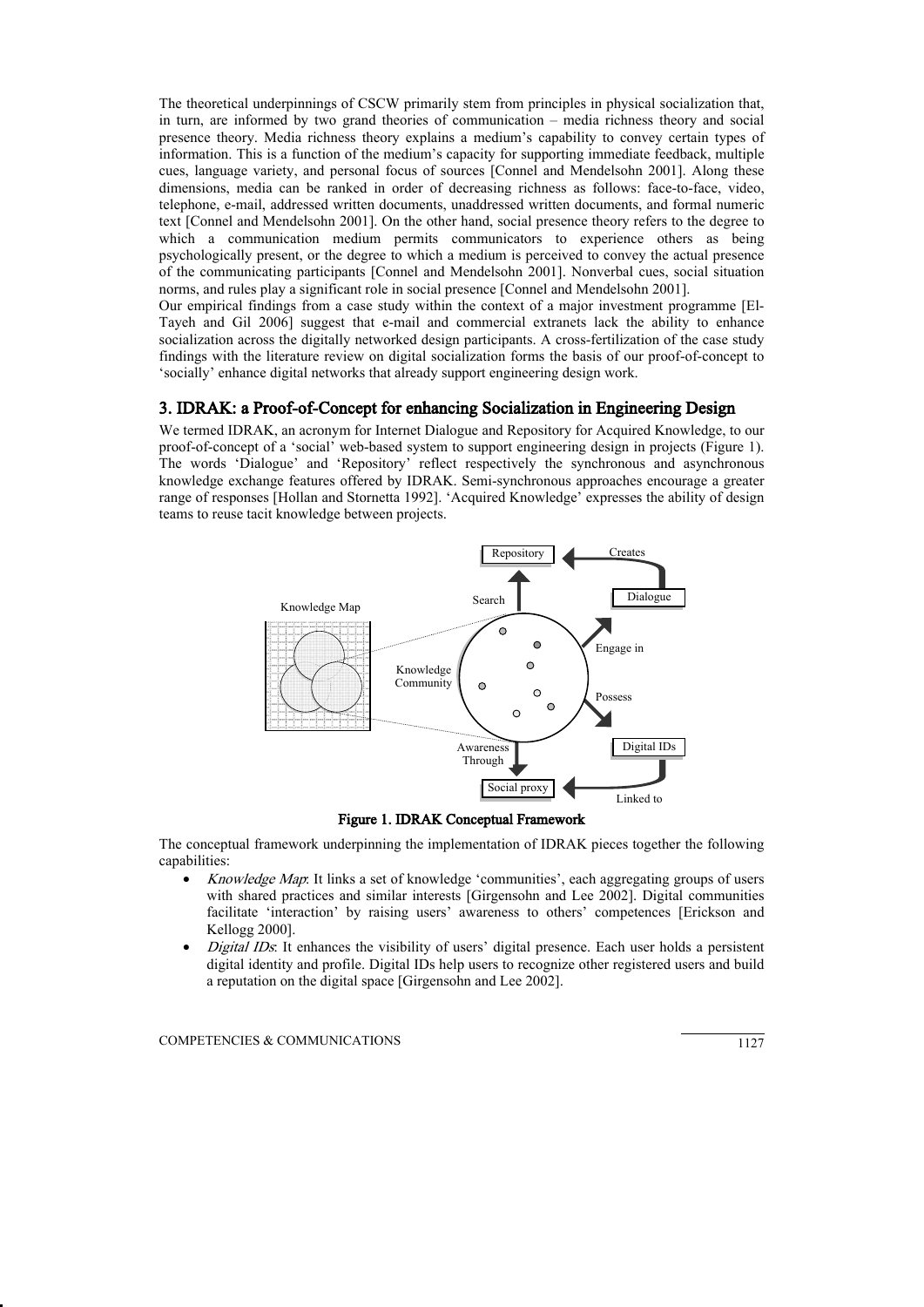The theoretical underpinnings of CSCW primarily stem from principles in physical socialization that, in turn, are informed by two grand theories of communication – media richness theory and social presence theory. Media richness theory explains a medium's capability to convey certain types of information. This is a function of the medium's capacity for supporting immediate feedback, multiple cues, language variety, and personal focus of sources [Connel and Mendelsohn 2001]. Along these dimensions, media can be ranked in order of decreasing richness as follows: face-to-face, video, telephone, e-mail, addressed written documents, unaddressed written documents, and formal numeric text [Connel and Mendelsohn 2001]. On the other hand, social presence theory refers to the degree to which a communication medium permits communicators to experience others as being psychologically present, or the degree to which a medium is perceived to convey the actual presence of the communicating participants [Connel and Mendelsohn 2001]. Nonverbal cues, social situation norms, and rules play a significant role in social presence [Connel and Mendelsohn 2001].

Our empirical findings from a case study within the context of a major investment programme [El-Tayeh and Gil 2006] suggest that e-mail and commercial extranets lack the ability to enhance socialization across the digitally networked design participants. A cross-fertilization of the case study findings with the literature review on digital socialization forms the basis of our proof-of-concept to 'socially' enhance digital networks that already support engineering design work.

#### 3. IDRAK: a Proof-of-Concept for enhancing Socialization in Engineering Design

We termed IDRAK, an acronym for Internet Dialogue and Repository for Acquired Knowledge, to our proof-of-concept of a 'social' web-based system to support engineering design in projects (Figure 1). The words 'Dialogue' and 'Repository' reflect respectively the synchronous and asynchronous knowledge exchange features offered by IDRAK. Semi-synchronous approaches encourage a greater range of responses [Hollan and Stornetta 1992]. 'Acquired Knowledge' expresses the ability of design teams to reuse tacit knowledge between projects.



Figure 1. IDRAK Conceptual Framework

The conceptual framework underpinning the implementation of IDRAK pieces together the following capabilities:

- Knowledge Map: It links a set of knowledge 'communities', each aggregating groups of users with shared practices and similar interests [Girgensohn and Lee 2002]. Digital communities facilitate 'interaction' by raising users' awareness to others' competences [Erickson and Kellogg 2000].
- Digital IDs: It enhances the visibility of users' digital presence. Each user holds a persistent digital identity and profile. Digital IDs help users to recognize other registered users and build a reputation on the digital space [Girgensohn and Lee 2002].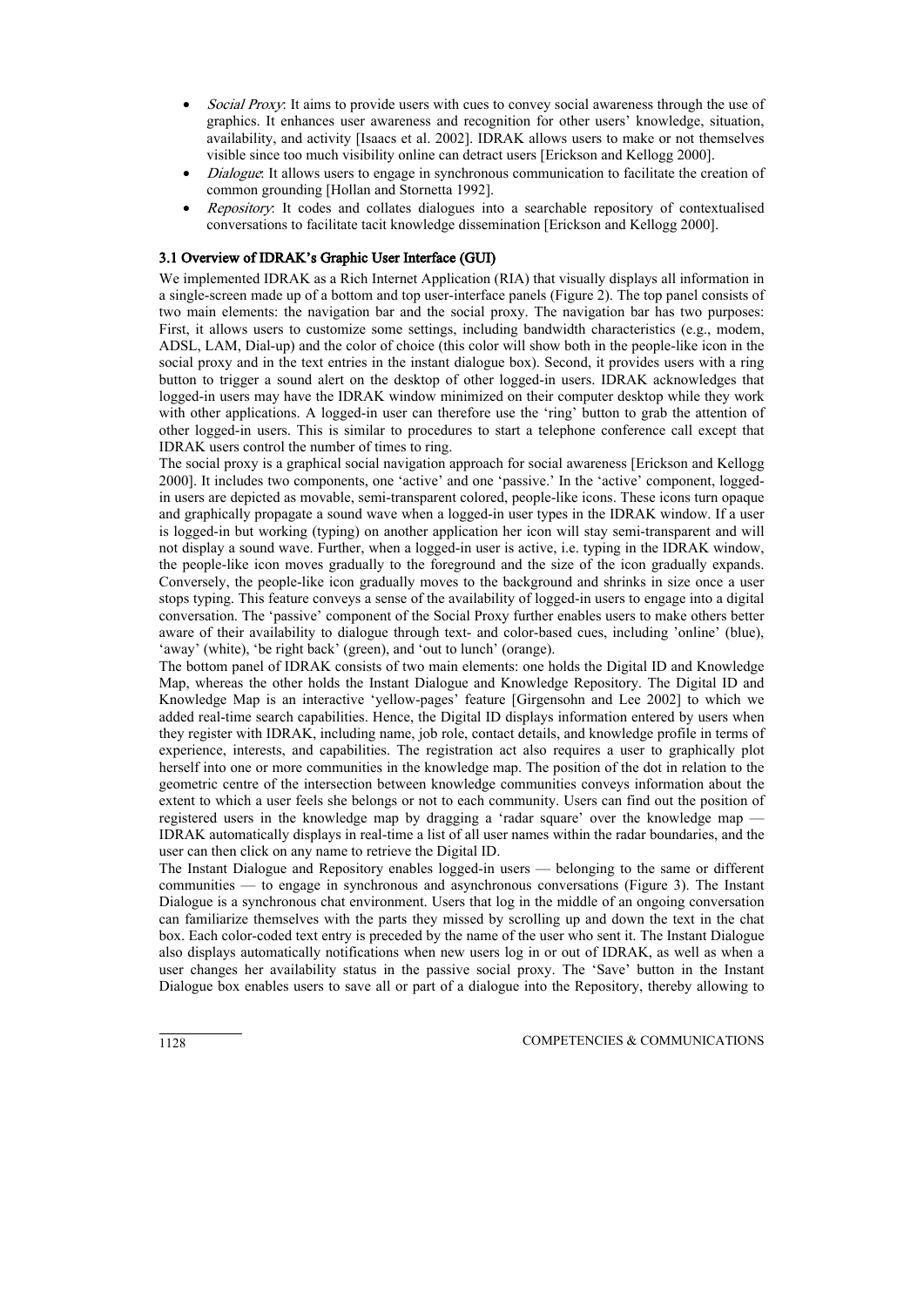- Social Proxy: It aims to provide users with cues to convey social awareness through the use of graphics. It enhances user awareness and recognition for other users' knowledge, situation, availability, and activity [Isaacs et al. 2002]. IDRAK allows users to make or not themselves visible since too much visibility online can detract users [Erickson and Kellogg 2000].
- Dialogue: It allows users to engage in synchronous communication to facilitate the creation of common grounding [Hollan and Stornetta 1992].
- Repository: It codes and collates dialogues into a searchable repository of contextualised conversations to facilitate tacit knowledge dissemination [Erickson and Kellogg 2000].

#### 3.1 Overview of IDRAK's Graphic User Interface (GUI)

We implemented IDRAK as a Rich Internet Application (RIA) that visually displays all information in a single-screen made up of a bottom and top user-interface panels (Figure 2). The top panel consists of two main elements: the navigation bar and the social proxy. The navigation bar has two purposes: First, it allows users to customize some settings, including bandwidth characteristics (e.g., modem, ADSL, LAM, Dial-up) and the color of choice (this color will show both in the people-like icon in the social proxy and in the text entries in the instant dialogue box). Second, it provides users with a ring button to trigger a sound alert on the desktop of other logged-in users. IDRAK acknowledges that logged-in users may have the IDRAK window minimized on their computer desktop while they work with other applications. A logged-in user can therefore use the 'ring' button to grab the attention of other logged-in users. This is similar to procedures to start a telephone conference call except that IDRAK users control the number of times to ring.

The social proxy is a graphical social navigation approach for social awareness [Erickson and Kellogg 2000]. It includes two components, one 'active' and one 'passive.' In the 'active' component, loggedin users are depicted as movable, semi-transparent colored, people-like icons. These icons turn opaque and graphically propagate a sound wave when a logged-in user types in the IDRAK window. If a user is logged-in but working (typing) on another application her icon will stay semi-transparent and will not display a sound wave. Further, when a logged-in user is active, i.e. typing in the IDRAK window, the people-like icon moves gradually to the foreground and the size of the icon gradually expands. Conversely, the people-like icon gradually moves to the background and shrinks in size once a user stops typing. This feature conveys a sense of the availability of logged-in users to engage into a digital conversation. The 'passive' component of the Social Proxy further enables users to make others better aware of their availability to dialogue through text- and color-based cues, including 'online' (blue), 'away' (white), 'be right back' (green), and 'out to lunch' (orange).

The bottom panel of IDRAK consists of two main elements: one holds the Digital ID and Knowledge Map, whereas the other holds the Instant Dialogue and Knowledge Repository. The Digital ID and Knowledge Map is an interactive 'yellow-pages' feature [Girgensohn and Lee 2002] to which we added real-time search capabilities. Hence, the Digital ID displays information entered by users when they register with IDRAK, including name, job role, contact details, and knowledge profile in terms of experience, interests, and capabilities. The registration act also requires a user to graphically plot herself into one or more communities in the knowledge map. The position of the dot in relation to the geometric centre of the intersection between knowledge communities conveys information about the extent to which a user feels she belongs or not to each community. Users can find out the position of registered users in the knowledge map by dragging a 'radar square' over the knowledge map -IDRAK automatically displays in real-time a list of all user names within the radar boundaries, and the user can then click on any name to retrieve the Digital ID.

The Instant Dialogue and Repository enables logged-in users — belonging to the same or different communities — to engage in synchronous and asynchronous conversations (Figure 3). The Instant Dialogue is a synchronous chat environment. Users that log in the middle of an ongoing conversation can familiarize themselves with the parts they missed by scrolling up and down the text in the chat box. Each color-coded text entry is preceded by the name of the user who sent it. The Instant Dialogue also displays automatically notifications when new users log in or out of IDRAK, as well as when a user changes her availability status in the passive social proxy. The 'Save' button in the Instant Dialogue box enables users to save all or part of a dialogue into the Repository, thereby allowing to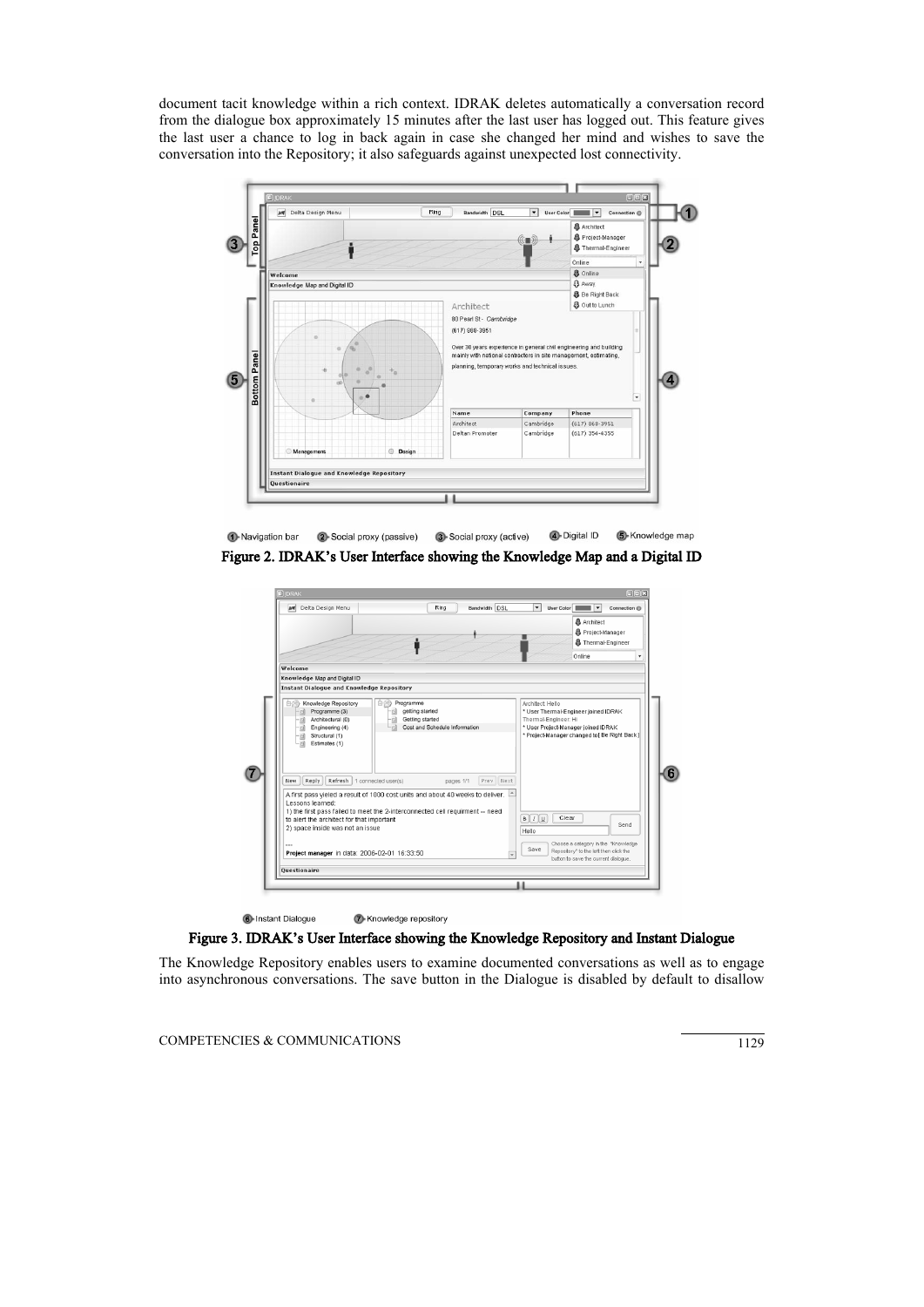document tacit knowledge within a rich context. IDRAK deletes automatically a conversation record from the dialogue box approximately 15 minutes after the last user has logged out. This feature gives the last user a chance to log in back again in case she changed her mind and wishes to save the conversation into the Repository; it also safeguards against unexpected lost connectivity.



**1**-Navigation bar 2 Social proxy (passive) 3 Social proxy (active) **4** Digital ID S-Knowledge map Figure 2. IDRAK's User Interface showing the Knowledge Map and a Digital ID

| <b>M</b> Delta Design Menu                                                                                                                           | Bandwidth DSL<br>Ring                                                                                                                                                                                                     | $\overline{\phantom{0}}$<br>User Color<br>Connection @                                                                                               |
|------------------------------------------------------------------------------------------------------------------------------------------------------|---------------------------------------------------------------------------------------------------------------------------------------------------------------------------------------------------------------------------|------------------------------------------------------------------------------------------------------------------------------------------------------|
|                                                                                                                                                      |                                                                                                                                                                                                                           | <b>晶</b> Architect<br><b>各</b> Project-Manager<br><b>&amp;</b> Thermal-Engineer                                                                      |
| Welcome                                                                                                                                              |                                                                                                                                                                                                                           | Online<br>٠                                                                                                                                          |
| Knowledge Map and Digital ID                                                                                                                         |                                                                                                                                                                                                                           |                                                                                                                                                      |
| <b>Instant Dialogue and Knowledge Repository</b>                                                                                                     |                                                                                                                                                                                                                           |                                                                                                                                                      |
| Programme (3)<br>Architectural (0)<br>-ra<br>Engineering (4)<br>-13)<br>Structural (1)<br>- 13)<br>Estimates (1)<br>Reply<br>New<br>Lessons learned: | getting started<br>Getting started<br>- 13)<br>Cost and Schedule Information<br>Refresh   1 connected user(s)<br>Prev Next<br>pages 1/1<br>A first pass yieled a result of 1000 cost units and about 40 weeks to deliver. | * User Thermal-Engineer joined IDRAK<br>Thermal-Engineer: Hi<br>* User Project-Manager joined IDRAK<br>* Project-Manager changed to [ Be Right Back] |
| to alert the architect for that important<br>2) space inside was not an issue                                                                        | 1) the first pass failed to meet the 2-interconnected cell requirment -- need                                                                                                                                             | Clear<br>$B$ $I$ $U$<br>Send<br>Hello                                                                                                                |
| Project manager in data: 2006-02-01 16:33:50                                                                                                         |                                                                                                                                                                                                                           | Choose a category in the "Knowledge"<br>Save<br>Repository" to the left then click the<br>button to save the current dialogue.                       |
| Questionaire                                                                                                                                         |                                                                                                                                                                                                                           |                                                                                                                                                      |
|                                                                                                                                                      |                                                                                                                                                                                                                           |                                                                                                                                                      |
|                                                                                                                                                      |                                                                                                                                                                                                                           |                                                                                                                                                      |

Figure 3. IDRAK's User Interface showing the Knowledge Repository and Instant Dialogue

7 Knowledge repository

The Knowledge Repository enables users to examine documented conversations as well as to engage into asynchronous conversations. The save button in the Dialogue is disabled by default to disallow

COMPETENCIES & COMMUNICATIONS 1129

**6** Instant Dialogue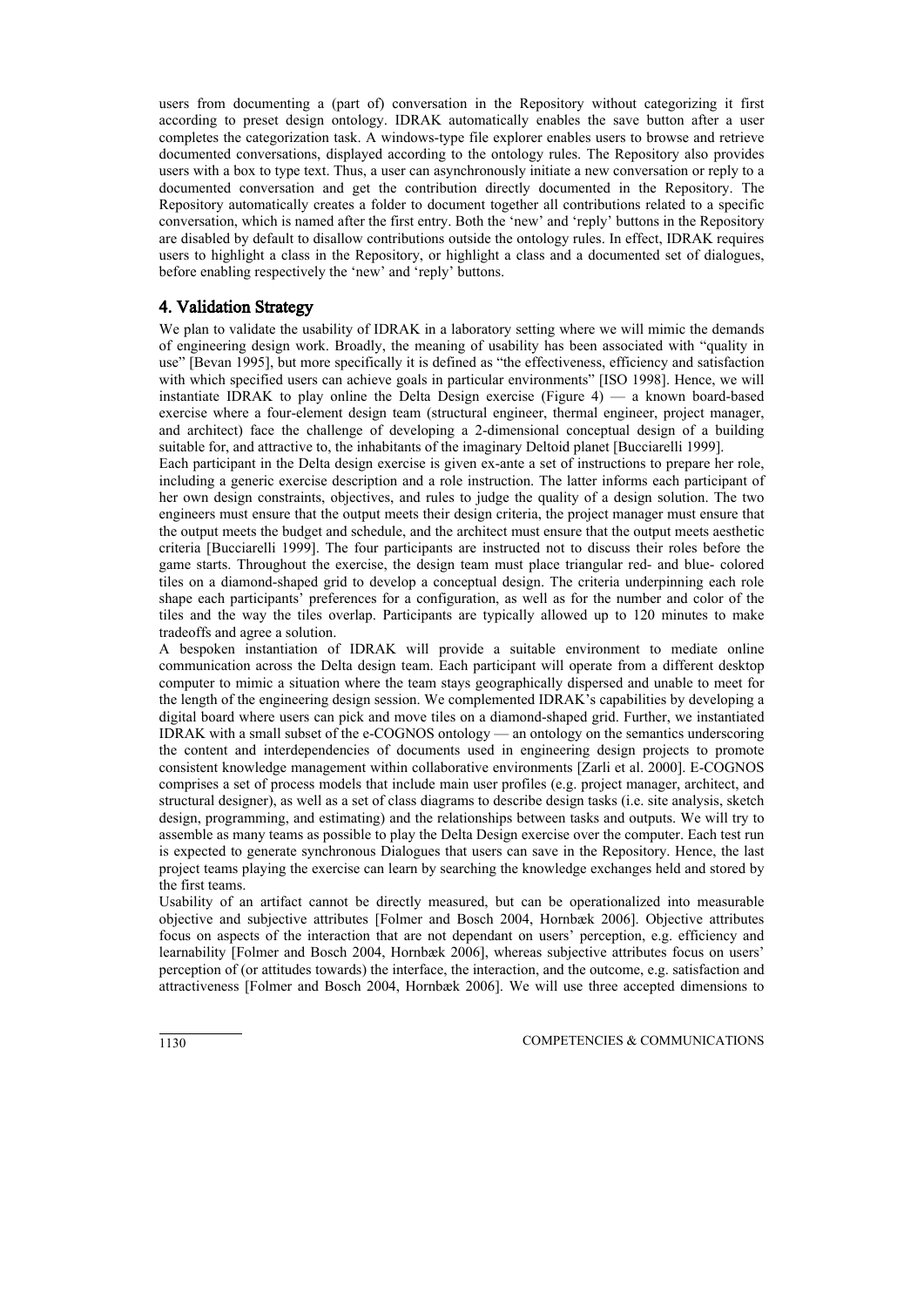users from documenting a (part of) conversation in the Repository without categorizing it first according to preset design ontology. IDRAK automatically enables the save button after a user completes the categorization task. A windows-type file explorer enables users to browse and retrieve documented conversations, displayed according to the ontology rules. The Repository also provides users with a box to type text. Thus, a user can asynchronously initiate a new conversation or reply to a documented conversation and get the contribution directly documented in the Repository. The Repository automatically creates a folder to document together all contributions related to a specific conversation, which is named after the first entry. Both the 'new' and 'reply' buttons in the Repository are disabled by default to disallow contributions outside the ontology rules. In effect, IDRAK requires users to highlight a class in the Repository, or highlight a class and a documented set of dialogues, before enabling respectively the 'new' and 'reply' buttons.

### 4. Validation Strategy

We plan to validate the usability of IDRAK in a laboratory setting where we will mimic the demands of engineering design work. Broadly, the meaning of usability has been associated with "quality in use" [Bevan 1995], but more specifically it is defined as "the effectiveness, efficiency and satisfaction with which specified users can achieve goals in particular environments" [ISO 1998]. Hence, we will instantiate IDRAK to play online the Delta Design exercise (Figure 4) — a known board-based exercise where a four-element design team (structural engineer, thermal engineer, project manager, and architect) face the challenge of developing a 2-dimensional conceptual design of a building suitable for, and attractive to, the inhabitants of the imaginary Deltoid planet [Bucciarelli 1999].

Each participant in the Delta design exercise is given ex-ante a set of instructions to prepare her role, including a generic exercise description and a role instruction. The latter informs each participant of her own design constraints, objectives, and rules to judge the quality of a design solution. The two engineers must ensure that the output meets their design criteria, the project manager must ensure that the output meets the budget and schedule, and the architect must ensure that the output meets aesthetic criteria [Bucciarelli 1999]. The four participants are instructed not to discuss their roles before the game starts. Throughout the exercise, the design team must place triangular red- and blue- colored tiles on a diamond-shaped grid to develop a conceptual design. The criteria underpinning each role shape each participants' preferences for a configuration, as well as for the number and color of the tiles and the way the tiles overlap. Participants are typically allowed up to 120 minutes to make tradeoffs and agree a solution.

A bespoken instantiation of IDRAK will provide a suitable environment to mediate online communication across the Delta design team. Each participant will operate from a different desktop computer to mimic a situation where the team stays geographically dispersed and unable to meet for the length of the engineering design session. We complemented IDRAK's capabilities by developing a digital board where users can pick and move tiles on a diamond-shaped grid. Further, we instantiated IDRAK with a small subset of the e-COGNOS ontology — an ontology on the semantics underscoring the content and interdependencies of documents used in engineering design projects to promote consistent knowledge management within collaborative environments [Zarli et al. 2000]. E-COGNOS comprises a set of process models that include main user profiles (e.g. project manager, architect, and structural designer), as well as a set of class diagrams to describe design tasks (i.e. site analysis, sketch design, programming, and estimating) and the relationships between tasks and outputs. We will try to assemble as many teams as possible to play the Delta Design exercise over the computer. Each test run is expected to generate synchronous Dialogues that users can save in the Repository. Hence, the last project teams playing the exercise can learn by searching the knowledge exchanges held and stored by the first teams.

Usability of an artifact cannot be directly measured, but can be operationalized into measurable objective and subjective attributes [Folmer and Bosch 2004, Hornbæk 2006]. Objective attributes focus on aspects of the interaction that are not dependant on users' perception, e.g. efficiency and learnability [Folmer and Bosch 2004, Hornbæk 2006], whereas subjective attributes focus on users' perception of (or attitudes towards) the interface, the interaction, and the outcome, e.g. satisfaction and attractiveness [Folmer and Bosch 2004, Hornbæk 2006]. We will use three accepted dimensions to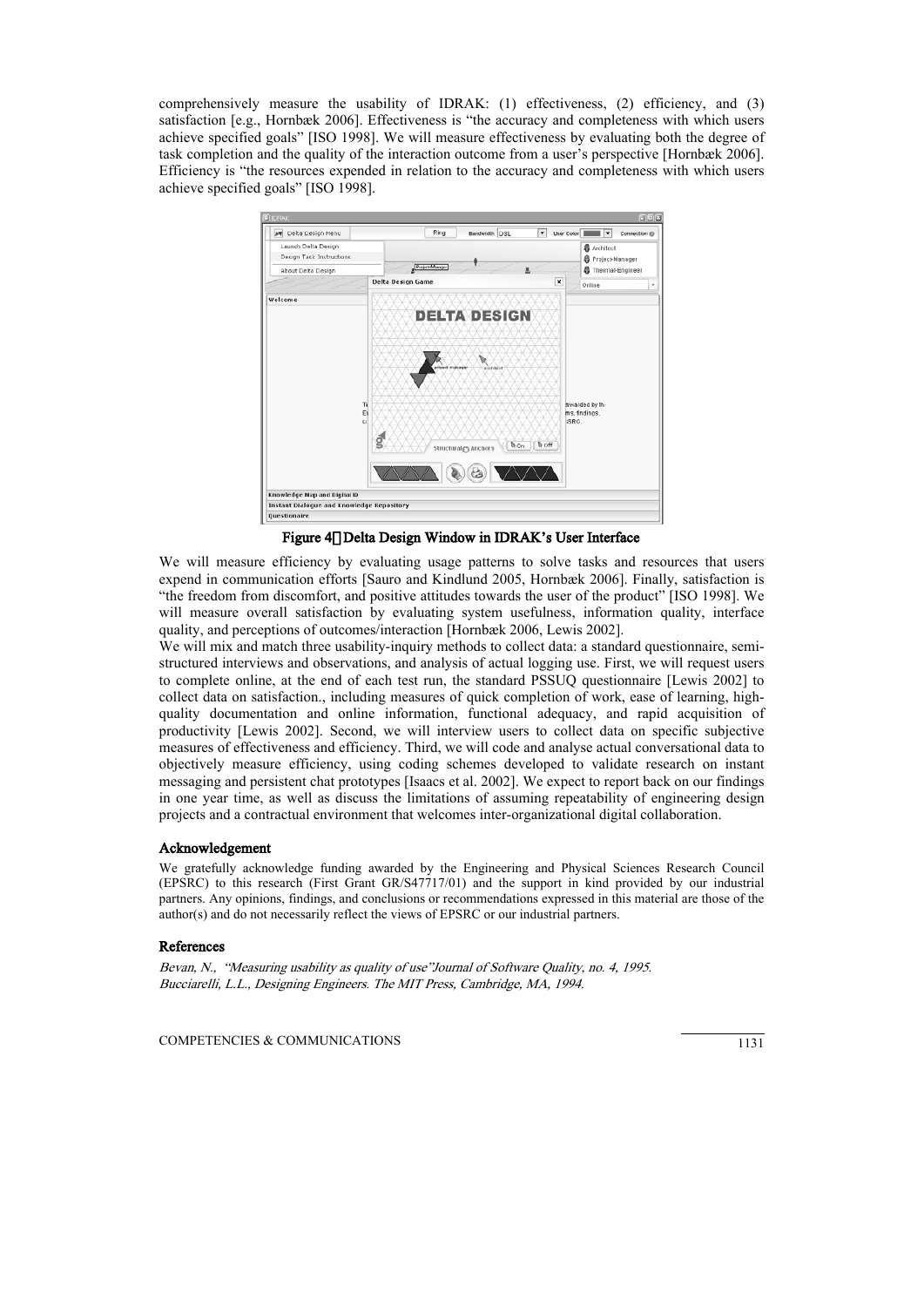comprehensively measure the usability of IDRAK: (1) effectiveness, (2) efficiency, and (3) satisfaction [e.g., Hornbæk 2006]. Effectiveness is "the accuracy and completeness with which users achieve specified goals" [ISO 1998]. We will measure effectiveness by evaluating both the degree of task completion and the quality of the interaction outcome from a user's perspective [Hornbæk 2006]. Efficiency is "the resources expended in relation to the accuracy and completeness with which users achieve specified goals" [ISO 1998].



Figure 40 Delta Design Window in IDRAK's User Interface

We will measure efficiency by evaluating usage patterns to solve tasks and resources that users expend in communication efforts [Sauro and Kindlund 2005, Hornbæk 2006]. Finally, satisfaction is "the freedom from discomfort, and positive attitudes towards the user of the product" [ISO 1998]. We will measure overall satisfaction by evaluating system usefulness, information quality, interface quality, and perceptions of outcomes/interaction [Hornbæk 2006, Lewis 2002].

We will mix and match three usability-inquiry methods to collect data: a standard questionnaire, semistructured interviews and observations, and analysis of actual logging use. First, we will request users to complete online, at the end of each test run, the standard PSSUQ questionnaire [Lewis 2002] to collect data on satisfaction., including measures of quick completion of work, ease of learning, highquality documentation and online information, functional adequacy, and rapid acquisition of productivity [Lewis 2002]. Second, we will interview users to collect data on specific subjective measures of effectiveness and efficiency. Third, we will code and analyse actual conversational data to objectively measure efficiency, using coding schemes developed to validate research on instant messaging and persistent chat prototypes [Isaacs et al. 2002]. We expect to report back on our findings in one year time, as well as discuss the limitations of assuming repeatability of engineering design projects and a contractual environment that welcomes inter-organizational digital collaboration.

#### Acknowledgement

We gratefully acknowledge funding awarded by the Engineering and Physical Sciences Research Council (EPSRC) to this research (First Grant GR/S47717/01) and the support in kind provided by our industrial partners. Any opinions, findings, and conclusions or recommendations expressed in this material are those of the author(s) and do not necessarily reflect the views of EPSRC or our industrial partners.

#### References

Bevan, N., "Measuring usability as quality of use"Journal of Software Quality, no. 4, 1995. Bucciarelli, L.L., Designing Engineers. The MIT Press, Cambridge, MA, 1994.